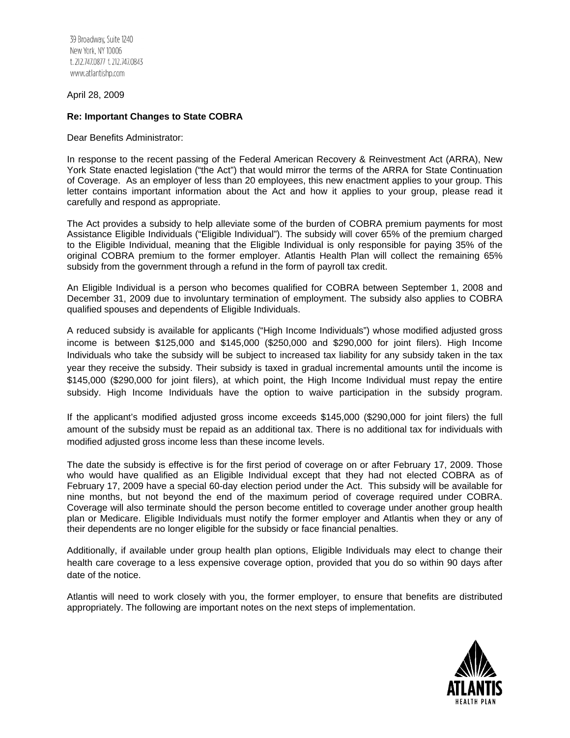39 Broadway, Suite 1240 New York, NY 10006 t. 212.747.0877 f. 212.747.0843 www.atlantishp.com

April 28, 2009

## **Re: Important Changes to State COBRA**

Dear Benefits Administrator:

In response to the recent passing of the Federal American Recovery & Reinvestment Act (ARRA), New York State enacted legislation ("the Act") that would mirror the terms of the ARRA for State Continuation of Coverage. As an employer of less than 20 employees, this new enactment applies to your group. This letter contains important information about the Act and how it applies to your group, please read it carefully and respond as appropriate.

The Act provides a subsidy to help alleviate some of the burden of COBRA premium payments for most Assistance Eligible Individuals ("Eligible Individual"). The subsidy will cover 65% of the premium charged to the Eligible Individual, meaning that the Eligible Individual is only responsible for paying 35% of the original COBRA premium to the former employer. Atlantis Health Plan will collect the remaining 65% subsidy from the government through a refund in the form of payroll tax credit.

An Eligible Individual is a person who becomes qualified for COBRA between September 1, 2008 and December 31, 2009 due to involuntary termination of employment. The subsidy also applies to COBRA qualified spouses and dependents of Eligible Individuals.

A reduced subsidy is available for applicants ("High Income Individuals") whose modified adjusted gross income is between \$125,000 and \$145,000 (\$250,000 and \$290,000 for joint filers). High Income Individuals who take the subsidy will be subject to increased tax liability for any subsidy taken in the tax year they receive the subsidy. Their subsidy is taxed in gradual incremental amounts until the income is \$145,000 (\$290,000 for joint filers), at which point, the High Income Individual must repay the entire subsidy. High Income Individuals have the option to waive participation in the subsidy program.

If the applicant's modified adjusted gross income exceeds \$145,000 (\$290,000 for joint filers) the full amount of the subsidy must be repaid as an additional tax. There is no additional tax for individuals with modified adjusted gross income less than these income levels.

The date the subsidy is effective is for the first period of coverage on or after February 17, 2009. Those who would have qualified as an Eligible Individual except that they had not elected COBRA as of February 17, 2009 have a special 60-day election period under the Act. This subsidy will be available for nine months, but not beyond the end of the maximum period of coverage required under COBRA. Coverage will also terminate should the person become entitled to coverage under another group health plan or Medicare. Eligible Individuals must notify the former employer and Atlantis when they or any of their dependents are no longer eligible for the subsidy or face financial penalties.

Additionally, if available under group health plan options, Eligible Individuals may elect to change their health care coverage to a less expensive coverage option, provided that you do so within 90 days after date of the notice.

Atlantis will need to work closely with you, the former employer, to ensure that benefits are distributed appropriately. The following are important notes on the next steps of implementation.